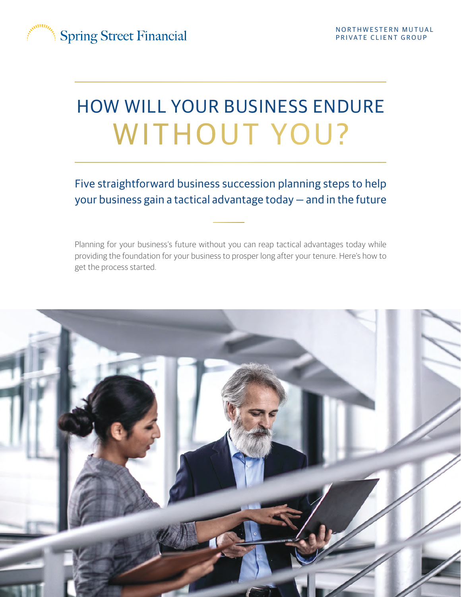

# HOW WILL YOUR BUSINESS ENDURE WITHOUT YOU?

Five straightforward business succession planning steps to help your business gain a tactical advantage today — and in the future

Planning for your business's future without you can reap tactical advantages today while providing the foundation for your business to prosper long after your tenure. Here's how to get the process started.

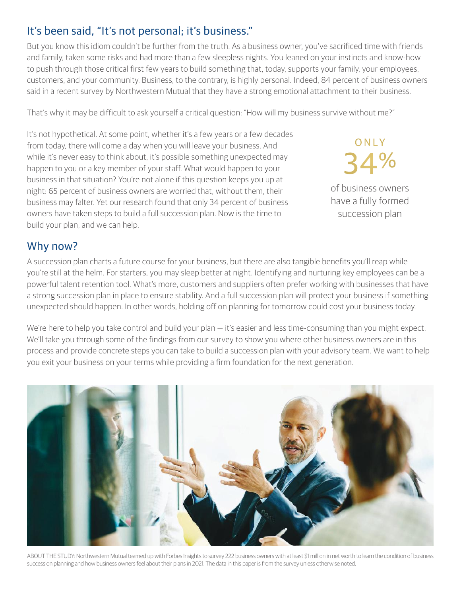## It's been said, "It's not personal; it's business."

But you know this idiom couldn't be further from the truth. As a business owner, you've sacrificed time with friends and family, taken some risks and had more than a few sleepless nights. You leaned on your instincts and know-how to push through those critical first few years to build something that, today, supports your family, your employees, customers, and your community. Business, to the contrary, is highly personal. Indeed, 84 percent of business owners said in a recent survey by Northwestern Mutual that they have a strong emotional attachment to their business.

That's why it may be difficult to ask yourself a critical question: "How will my business survive without me?"

It's not hypothetical. At some point, whether it's a few years or a few decades from today, there will come a day when you will leave your business. And while it's never easy to think about, it's possible something unexpected may happen to you or a key member of your staff. What would happen to your business in that situation? You're not alone if this question keeps you up at night: 65 percent of business owners are worried that, without them, their business may falter. Yet our research found that only 34 percent of business owners have taken steps to build a full succession plan. Now is the time to build your plan, and we can help.

of business owners have a fully formed 34%

ONLY

succession plan

## Why now?

A succession plan charts a future course for your business, but there are also tangible benefits you'll reap while you're still at the helm. For starters, you may sleep better at night. Identifying and nurturing key employees can be a powerful talent retention tool. What's more, customers and suppliers often prefer working with businesses that have a strong succession plan in place to ensure stability. And a full succession plan will protect your business if something unexpected should happen. In other words, holding off on planning for tomorrow could cost your business today.

We're here to help you take control and build your plan — it's easier and less time-consuming than you might expect. We'll take you through some of the findings from our survey to show you where other business owners are in this process and provide concrete steps you can take to build a succession plan with your advisory team. We want to help you exit your business on your terms while providing a firm foundation for the next generation.



ABOUT THE STUDY: Northwestern Mutual teamed up with Forbes Insights to survey 222 business owners with at least \$1 million in net worth to learn the condition of business succession planning and how business owners feel about their plans in 2021. The data in this paper is from the survey unless otherwise noted.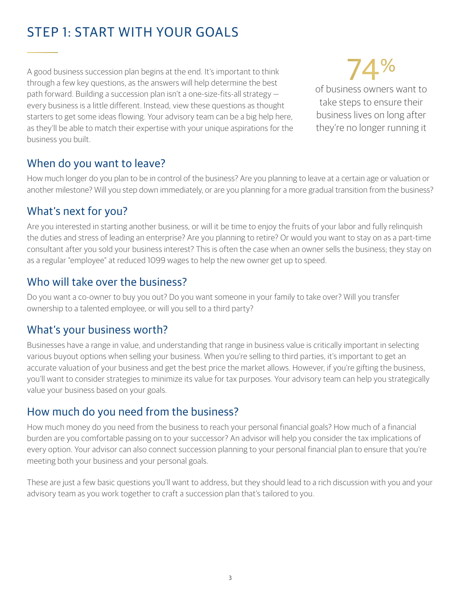## STEP 1: START WITH YOUR GOALS

A good business succession plan begins at the end. It's important to think through a few key questions, as the answers will help determine the best path forward. Building a succession plan isn't a one-size-fits-all strategy every business is a little different. Instead, view these questions as thought starters to get some ideas flowing. Your advisory team can be a big help here, as they'll be able to match their expertise with your unique aspirations for the business you built.

74% of business owners want to take steps to ensure their business lives on long after they're no longer running it

## When do you want to leave?

How much longer do you plan to be in control of the business? Are you planning to leave at a certain age or valuation or another milestone? Will you step down immediately, or are you planning for a more gradual transition from the business?

## What's next for you?

Are you interested in starting another business, or will it be time to enjoy the fruits of your labor and fully relinquish the duties and stress of leading an enterprise? Are you planning to retire? Or would you want to stay on as a part-time consultant after you sold your business interest? This is often the case when an owner sells the business; they stay on as a regular "employee" at reduced 1099 wages to help the new owner get up to speed.

## Who will take over the business?

Do you want a co-owner to buy you out? Do you want someone in your family to take over? Will you transfer ownership to a talented employee, or will you sell to a third party?

## What's your business worth?

Businesses have a range in value, and understanding that range in business value is critically important in selecting various buyout options when selling your business. When you're selling to third parties, it's important to get an accurate valuation of your business and get the best price the market allows. However, if you're gifting the business, you'll want to consider strategies to minimize its value for tax purposes. Your advisory team can help you strategically value your business based on your goals.

## How much do you need from the business?

How much money do you need from the business to reach your personal financial goals? How much of a financial burden are you comfortable passing on to your successor? An advisor will help you consider the tax implications of every option. Your advisor can also connect succession planning to your personal financial plan to ensure that you're meeting both your business and your personal goals.

These are just a few basic questions you'll want to address, but they should lead to a rich discussion with you and your advisory team as you work together to craft a succession plan that's tailored to you.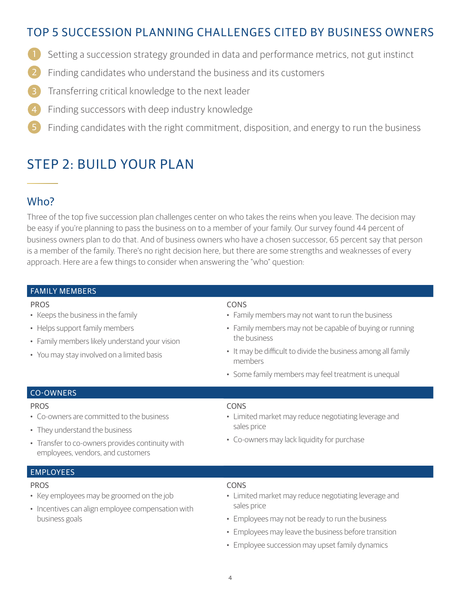## TOP 5 SUCCESSION PLANNING CHALLENGES CITED BY BUSINESS OWNERS

- 1 Setting a succession strategy grounded in data and performance metrics, not gut instinct
- 2 Finding candidates who understand the business and its customers
- Transferring critical knowledge to the next leader
- Finding successors with deep industry knowledge
- 5 Finding candidates with the right commitment, disposition, and energy to run the business

## STEP 2: BUILD YOUR PLAN

## Who?

Three of the top five succession plan challenges center on who takes the reins when you leave. The decision may be easy if you're planning to pass the business on to a member of your family. Our survey found 44 percent of business owners plan to do that. And of business owners who have a chosen successor, 65 percent say that person is a member of the family. There's no right decision here, but there are some strengths and weaknesses of every approach. Here are a few things to consider when answering the "who" question:

### FAMILY MEMBERS

- Keeps the business in the family
- Helps support family members
- Family members likely understand your vision
- You may stay involved on a limited basis

### PROS CONS

- Family members may not want to run the business
- Family members may not be capable of buying or running the business
- It may be difficult to divide the business among all family members
- Some family members may feel treatment is unequal

### CO-OWNERS

### PROS CONS

- Co-owners are committed to the business
- They understand the business
- Transfer to co-owners provides continuity with employees, vendors, and customers

- Limited market may reduce negotiating leverage and sales price
- Co-owners may lack liquidity for purchase

### EMPLOYEES

#### PROS CONS

- Key employees may be groomed on the job
- Incentives can align employee compensation with business goals
- 
- Limited market may reduce negotiating leverage and sales price
- Employees may not be ready to run the business
- Employees may leave the business before transition
- Employee succession may upset family dynamics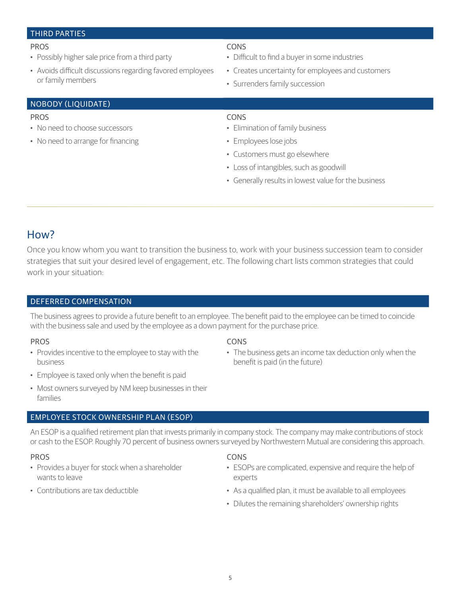### THIRD PARTIES

#### PROS CONS

- Possibly higher sale price from a third party
- Avoids difficult discussions regarding favored employees or family members

- Difficult to find a buyer in some industries
- Creates uncertainty for employees and customers
- Surrenders family succession

### NOBODY (LIQUIDATE)

- No need to choose successors
- No need to arrange for financing

### PROS CONS

- Elimination of family business
- Employees lose jobs
- Customers must go elsewhere
- Loss of intangibles, such as goodwill
- Generally results in lowest value for the business

### How?

Once you know whom you want to transition the business to, work with your business succession team to consider strategies that suit your desired level of engagement, etc. The following chart lists common strategies that could work in your situation:

### DEFERRED COMPENSATION

The business agrees to provide a future benefit to an employee. The benefit paid to the employee can be timed to coincide with the business sale and used by the employee as a down payment for the purchase price.

- Provides incentive to the employee to stay with the business
- Employee is taxed only when the benefit is paid
- Most owners surveyed by NM keep businesses in their families

### EMPLOYEE STOCK OWNERSHIP PLAN (ESOP)

An ESOP is a qualified retirement plan that invests primarily in company stock. The company may make contributions of stock or cash to the ESOP. Roughly 70 percent of business owners surveyed by Northwestern Mutual are considering this approach.

### PROS CONS

- Provides a buyer for stock when a shareholder wants to leave
- Contributions are tax deductible

### PROS CONS

• The business gets an income tax deduction only when the benefit is paid (in the future)

- ESOPs are complicated, expensive and require the help of experts
- As a qualified plan, it must be available to all employees
- Dilutes the remaining shareholders' ownership rights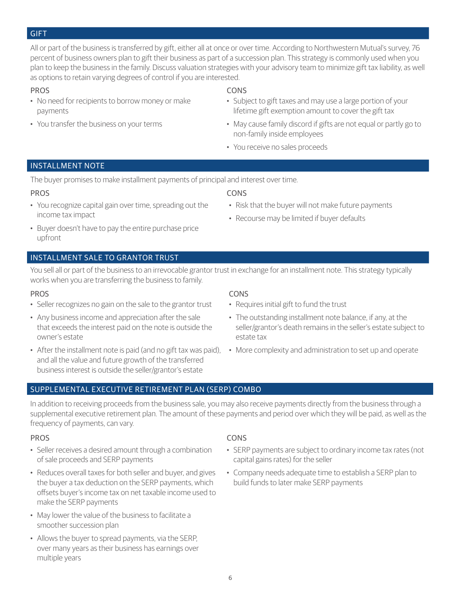#### GIFT

All or part of the business is transferred by gift, either all at once or over time. According to Northwestern Mutual's survey, 76 percent of business owners plan to gift their business as part of a succession plan. This strategy is commonly used when you plan to keep the business in the family. Discuss valuation strategies with your advisory team to minimize gift tax liability, as well as options to retain varying degrees of control if you are interested.

- No need for recipients to borrow money or make payments
- You transfer the business on your terms

#### PROS CONS

- Subject to gift taxes and may use a large portion of your lifetime gift exemption amount to cover the gift tax
- May cause family discord if gifts are not equal or partly go to non-family inside employees
- You receive no sales proceeds

#### INSTALLMENT NOTE

The buyer promises to make installment payments of principal and interest over time.

#### PROS CONS

- You recognize capital gain over time, spreading out the income tax impact
- - Risk that the buyer will not make future payments
	- Recourse may be limited if buyer defaults
- Buyer doesn't have to pay the entire purchase price upfront

### INSTALLMENT SALE TO GRANTOR TRUST

You sell all or part of the business to an irrevocable grantor trust in exchange for an installment note. This strategy typically works when you are transferring the business to family.

#### PROS CONS

- Seller recognizes no gain on the sale to the grantor trust
- Any business income and appreciation after the sale that exceeds the interest paid on the note is outside the owner's estate
- After the installment note is paid (and no gift tax was paid), More complexity and administration to set up and operate and all the value and future growth of the transferred business interest is outside the seller/grantor's estate

- Requires initial gift to fund the trust
- The outstanding installment note balance, if any, at the seller/grantor's death remains in the seller's estate subject to estate tax
- 

### SUPPLEMENTAL EXECUTIVE RETIREMENT PLAN (SERP) COMBO

In addition to receiving proceeds from the business sale, you may also receive payments directly from the business through a supplemental executive retirement plan. The amount of these payments and period over which they will be paid, as well as the frequency of payments, can vary.

- Seller receives a desired amount through a combination of sale proceeds and SERP payments
- Reduces overall taxes for both seller and buyer, and gives the buyer a tax deduction on the SERP payments, which offsets buyer's income tax on net taxable income used to make the SERP payments
- May lower the value of the business to facilitate a smoother succession plan
- Allows the buyer to spread payments, via the SERP, over many years as their business has earnings over multiple years

### PROS CONS

- SERP payments are subject to ordinary income tax rates (not capital gains rates) for the seller
- Company needs adequate time to establish a SERP plan to build funds to later make SERP payments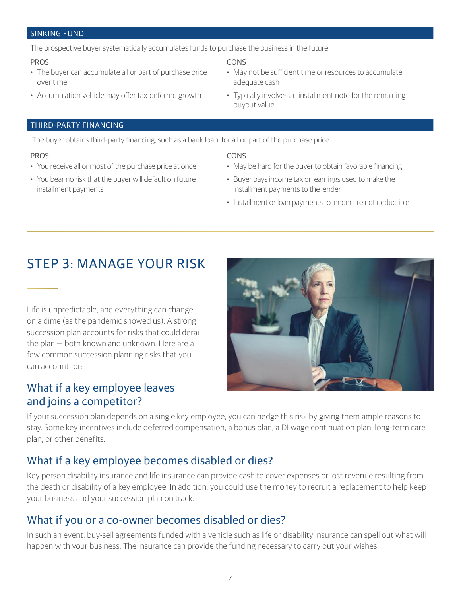#### SINKING FUND

The prospective buyer systematically accumulates funds to purchase the business in the future.

#### PROS CONS

- The buyer can accumulate all or part of purchase price over time
- Accumulation vehicle may offer tax-deferred growth

- May not be sufficient time or resources to accumulate adequate cash
- Typically involves an installment note for the remaining buyout value

### THIRD-PARTY FINANCING

The buyer obtains third-party financing, such as a bank loan, for all or part of the purchase price.

#### PROS CONS

- You receive all or most of the purchase price at once
- You bear no risk that the buyer will default on future installment payments

- May be hard for the buyer to obtain favorable financing
- Buyer pays income tax on earnings used to make the installment payments to the lender
- Installment or loan payments to lender are not deductible

## STEP 3: MANAGE YOUR RISK

Life is unpredictable, and everything can change on a dime (as the pandemic showed us). A strong succession plan accounts for risks that could derail the plan — both known and unknown. Here are a few common succession planning risks that you can account for:

## What if a key employee leaves and joins a competitor?



If your succession plan depends on a single key employee, you can hedge this risk by giving them ample reasons to stay. Some key incentives include deferred compensation, a bonus plan, a DI wage continuation plan, long-term care plan, or other benefits.

## What if a key employee becomes disabled or dies?

Key person disability insurance and life insurance can provide cash to cover expenses or lost revenue resulting from the death or disability of a key employee. In addition, you could use the money to recruit a replacement to help keep your business and your succession plan on track.

## What if you or a co-owner becomes disabled or dies?

In such an event, buy-sell agreements funded with a vehicle such as life or disability insurance can spell out what will happen with your business. The insurance can provide the funding necessary to carry out your wishes.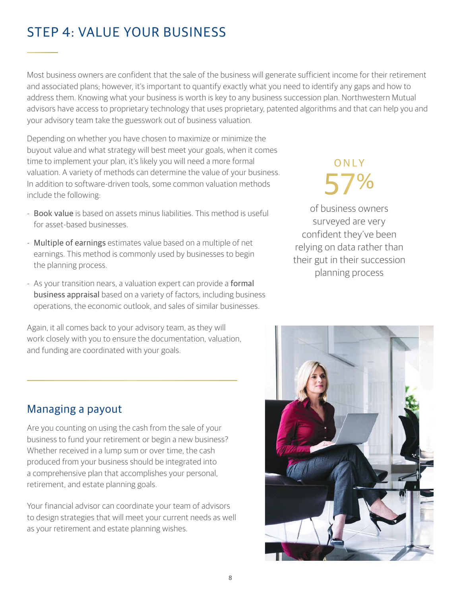## STEP 4: VALUE YOUR BUSINESS

Most business owners are confident that the sale of the business will generate sufficient income for their retirement and associated plans; however, it's important to quantify exactly what you need to identify any gaps and how to address them. Knowing what your business is worth is key to any business succession plan. Northwestern Mutual advisors have access to proprietary technology that uses proprietary, patented algorithms and that can help you and your advisory team take the guesswork out of business valuation.

Depending on whether you have chosen to maximize or minimize the buyout value and what strategy will best meet your goals, when it comes time to implement your plan, it's likely you will need a more formal valuation. A variety of methods can determine the value of your business. In addition to software-driven tools, some common valuation methods include the following:

- Book value is based on assets minus liabilities. This method is useful for asset-based businesses.
- Multiple of earnings estimates value based on a multiple of net earnings. This method is commonly used by businesses to begin the planning process.
- As your transition nears, a valuation expert can provide a formal business appraisal based on a variety of factors, including business operations, the economic outlook, and sales of similar businesses.

Again, it all comes back to your advisory team, as they will work closely with you to ensure the documentation, valuation, and funding are coordinated with your goals.

# O N L Y 57%

of business owners surveyed are very confident they've been relying on data rather than their gut in their succession planning process



Are you counting on using the cash from the sale of your business to fund your retirement or begin a new business? Whether received in a lump sum or over time, the cash produced from your business should be integrated into a comprehensive plan that accomplishes your personal, retirement, and estate planning goals.

Your financial advisor can coordinate your team of advisors to design strategies that will meet your current needs as well as your retirement and estate planning wishes.